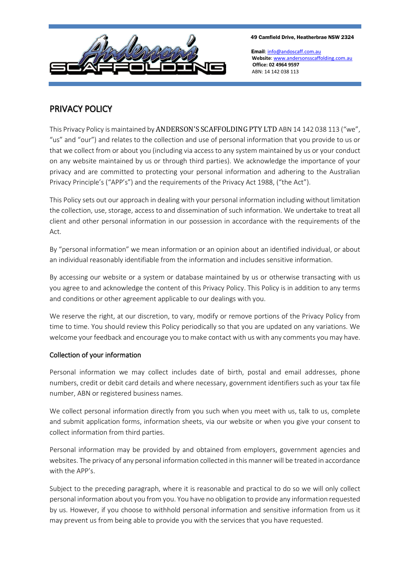

49 Camfield Drive, Heatherbrae NSW 2324

Email[: info@andoscaff.com.au](mailto:info@andoscaff.com.au)  **Website**[: www.andersonsscaffolding.com.au](file:///G:/Andersons/www.andersonsscaffolding.com.au)  **Office: 02 4964 9597** ABN: 14 142 038 113

# PRIVACY POLICY

This Privacy Policy is maintained by ANDERSON'S SCAFFOLDING PTY LTD ABN 14 142 038 113 ("we", "us" and "our") and relates to the collection and use of personal information that you provide to us or that we collect from or about you (including via access to any system maintained by us or your conduct on any website maintained by us or through third parties). We acknowledge the importance of your privacy and are committed to protecting your personal information and adhering to the Australian Privacy Principle's ("APP's") and the requirements of the Privacy Act 1988, ("the Act").

This Policy sets out our approach in dealing with your personal information including without limitation the collection, use, storage, access to and dissemination of such information. We undertake to treat all client and other personal information in our possession in accordance with the requirements of the Act.

By "personal information" we mean information or an opinion about an identified individual, or about an individual reasonably identifiable from the information and includes sensitive information.

By accessing our website or a system or database maintained by us or otherwise transacting with us you agree to and acknowledge the content of this Privacy Policy. This Policy is in addition to any terms and conditions or other agreement applicable to our dealings with you.

We reserve the right, at our discretion, to vary, modify or remove portions of the Privacy Policy from time to time. You should review this Policy periodically so that you are updated on any variations. We welcome your feedback and encourage you to make contact with us with any comments you may have.

# Collection of your information

Personal information we may collect includes date of birth, postal and email addresses, phone numbers, credit or debit card details and where necessary, government identifiers such as your tax file number, ABN or registered business names.

We collect personal information directly from you such when you meet with us, talk to us, complete and submit application forms, information sheets, via our website or when you give your consent to collect information from third parties.

Personal information may be provided by and obtained from employers, government agencies and websites. The privacy of any personal information collected in this manner will be treated in accordance with the APP's.

Subject to the preceding paragraph, where it is reasonable and practical to do so we will only collect personal information about you from you. You have no obligation to provide any information requested by us. However, if you choose to withhold personal information and sensitive information from us it may prevent us from being able to provide you with the services that you have requested.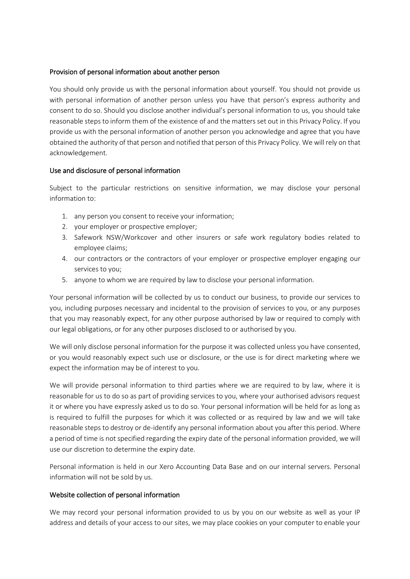#### Provision of personal information about another person

You should only provide us with the personal information about yourself. You should not provide us with personal information of another person unless you have that person's express authority and consent to do so. Should you disclose another individual's personal information to us, you should take reasonable steps to inform them of the existence of and the matters set out in this Privacy Policy. If you provide us with the personal information of another person you acknowledge and agree that you have obtained the authority of that person and notified that person of this Privacy Policy. We will rely on that acknowledgement.

# Use and disclosure of personal information

Subject to the particular restrictions on sensitive information, we may disclose your personal information to:

- 1. any person you consent to receive your information;
- 2. your employer or prospective employer;
- 3. Safework NSW/Workcover and other insurers or safe work regulatory bodies related to employee claims;
- 4. our contractors or the contractors of your employer or prospective employer engaging our services to you;
- 5. anyone to whom we are required by law to disclose your personal information.

Your personal information will be collected by us to conduct our business, to provide our services to you, including purposes necessary and incidental to the provision of services to you, or any purposes that you may reasonably expect, for any other purpose authorised by law or required to comply with our legal obligations, or for any other purposes disclosed to or authorised by you.

We will only disclose personal information for the purpose it was collected unless you have consented, or you would reasonably expect such use or disclosure, or the use is for direct marketing where we expect the information may be of interest to you.

We will provide personal information to third parties where we are required to by law, where it is reasonable for us to do so as part of providing services to you, where your authorised advisors request it or where you have expressly asked us to do so. Your personal information will be held for as long as is required to fulfill the purposes for which it was collected or as required by law and we will take reasonable steps to destroy or de-identify any personal information about you after this period. Where a period of time is not specified regarding the expiry date of the personal information provided, we will use our discretion to determine the expiry date.

Personal information is held in our Xero Accounting Data Base and on our internal servers. Personal information will not be sold by us.

# Website collection of personal information

We may record your personal information provided to us by you on our website as well as your IP address and details of your access to our sites, we may place cookies on your computer to enable your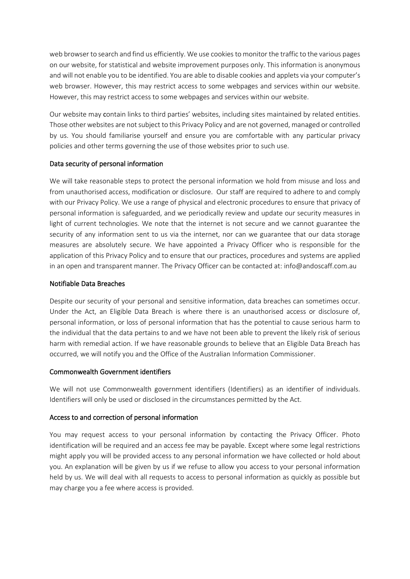web browser to search and find us efficiently. We use cookies to monitor the traffic to the various pages on our website, for statistical and website improvement purposes only. This information is anonymous and will not enable you to be identified. You are able to disable cookies and applets via your computer's web browser. However, this may restrict access to some webpages and services within our website. However, this may restrict access to some webpages and services within our website.

Our website may contain links to third parties' websites, including sites maintained by related entities. Those other websites are not subject to this Privacy Policy and are not governed, managed or controlled by us. You should familiarise yourself and ensure you are comfortable with any particular privacy policies and other terms governing the use of those websites prior to such use.

# Data security of personal information

We will take reasonable steps to protect the personal information we hold from misuse and loss and from unauthorised access, modification or disclosure. Our staff are required to adhere to and comply with our Privacy Policy. We use a range of physical and electronic procedures to ensure that privacy of personal information is safeguarded, and we periodically review and update our security measures in light of current technologies. We note that the internet is not secure and we cannot guarantee the security of any information sent to us via the internet, nor can we guarantee that our data storage measures are absolutely secure. We have appointed a Privacy Officer who is responsible for the application of this Privacy Policy and to ensure that our practices, procedures and systems are applied in an open and transparent manner. The Privacy Officer can be contacted at: info@andoscaff.com.au

# Notifiable Data Breaches

Despite our security of your personal and sensitive information, data breaches can sometimes occur. Under the Act, an Eligible Data Breach is where there is an unauthorised access or disclosure of, personal information, or loss of personal information that has the potential to cause serious harm to the individual that the data pertains to and we have not been able to prevent the likely risk of serious harm with remedial action. If we have reasonable grounds to believe that an Eligible Data Breach has occurred, we will notify you and the Office of the Australian Information Commissioner.

# Commonwealth Government identifiers

We will not use Commonwealth government identifiers (Identifiers) as an identifier of individuals. Identifiers will only be used or disclosed in the circumstances permitted by the Act.

# Access to and correction of personal information

You may request access to your personal information by contacting the Privacy Officer. Photo identification will be required and an access fee may be payable. Except where some legal restrictions might apply you will be provided access to any personal information we have collected or hold about you. An explanation will be given by us if we refuse to allow you access to your personal information held by us. We will deal with all requests to access to personal information as quickly as possible but may charge you a fee where access is provided.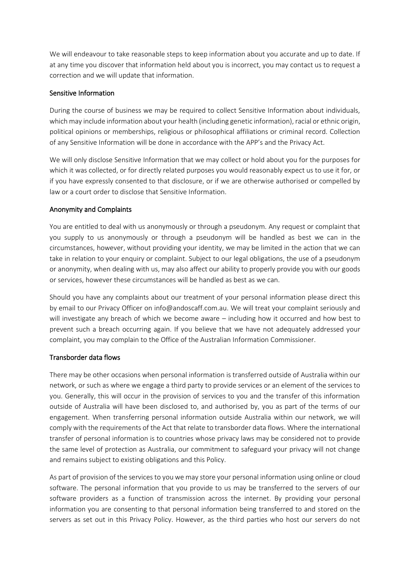We will endeavour to take reasonable steps to keep information about you accurate and up to date. If at any time you discover that information held about you is incorrect, you may contact us to request a correction and we will update that information.

#### Sensitive Information

During the course of business we may be required to collect Sensitive Information about individuals, which may include information about your health (including genetic information), racial or ethnic origin, political opinions or memberships, religious or philosophical affiliations or criminal record. Collection of any Sensitive Information will be done in accordance with the APP's and the Privacy Act.

We will only disclose Sensitive Information that we may collect or hold about you for the purposes for which it was collected, or for directly related purposes you would reasonably expect us to use it for, or if you have expressly consented to that disclosure, or if we are otherwise authorised or compelled by law or a court order to disclose that Sensitive Information.

#### Anonymity and Complaints

You are entitled to deal with us anonymously or through a pseudonym. Any request or complaint that you supply to us anonymously or through a pseudonym will be handled as best we can in the circumstances, however, without providing your identity, we may be limited in the action that we can take in relation to your enquiry or complaint. Subject to our legal obligations, the use of a pseudonym or anonymity, when dealing with us, may also affect our ability to properly provide you with our goods or services, however these circumstances will be handled as best as we can.

Should you have any complaints about our treatment of your personal information please direct this by email to our Privacy Officer on info@andoscaff.com.au. We will treat your complaint seriously and will investigate any breach of which we become aware – including how it occurred and how best to prevent such a breach occurring again. If you believe that we have not adequately addressed your complaint, you may complain to the Office of the Australian Information Commissioner.

# Transborder data flows

There may be other occasions when personal information is transferred outside of Australia within our network, or such as where we engage a third party to provide services or an element of the services to you. Generally, this will occur in the provision of services to you and the transfer of this information outside of Australia will have been disclosed to, and authorised by, you as part of the terms of our engagement. When transferring personal information outside Australia within our network, we will comply with the requirements of the Act that relate to transborder data flows. Where the international transfer of personal information is to countries whose privacy laws may be considered not to provide the same level of protection as Australia, our commitment to safeguard your privacy will not change and remains subject to existing obligations and this Policy.

As part of provision of the services to you we may store your personal information using online or cloud software. The personal information that you provide to us may be transferred to the servers of our software providers as a function of transmission across the internet. By providing your personal information you are consenting to that personal information being transferred to and stored on the servers as set out in this Privacy Policy. However, as the third parties who host our servers do not